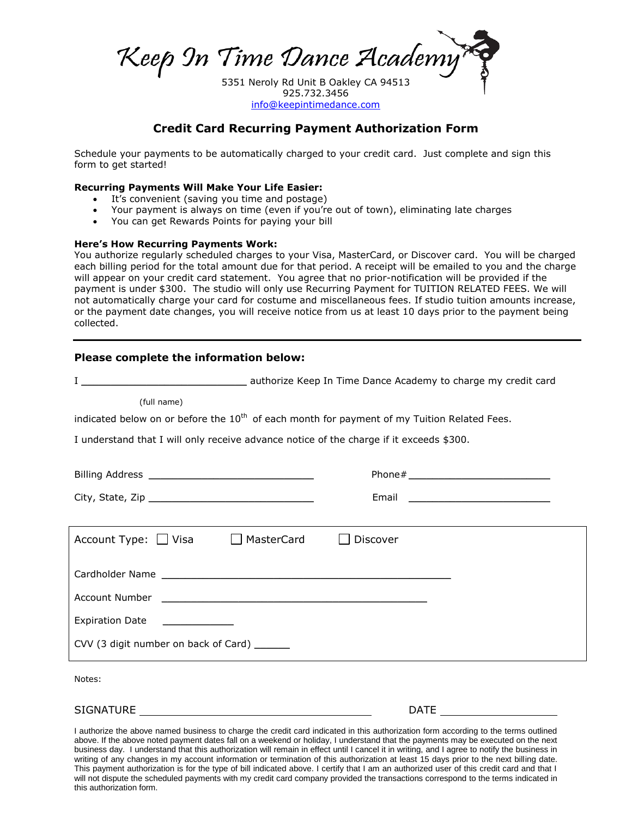Keep In Time Dance Academy

5351 Neroly Rd Unit B Oakley CA 94513 925.732.3456 [info@keepintimedance.com](mailto:info@keepintimedance.com)

### **Credit Card Recurring Payment Authorization Form**

Schedule your payments to be automatically charged to your credit card. Just complete and sign this form to get started!

#### **Recurring Payments Will Make Your Life Easier:**

- It's convenient (saving you time and postage)
- Your payment is always on time (even if you're out of town), eliminating late charges
- You can get Rewards Points for paying your bill

#### **Here's How Recurring Payments Work:**

You authorize regularly scheduled charges to your Visa, MasterCard, or Discover card. You will be charged each billing period for the total amount due for that period. A receipt will be emailed to you and the charge will appear on your credit card statement. You agree that no prior-notification will be provided if the payment is under \$300. The studio will only use Recurring Payment for TUITION RELATED FEES. We will not automatically charge your card for costume and miscellaneous fees. If studio tuition amounts increase, or the payment date changes, you will receive notice from us at least 10 days prior to the payment being collected.

#### **Please complete the information below:**

I \_\_\_\_\_\_\_\_\_\_\_\_\_\_\_\_\_\_\_\_\_\_\_\_\_\_\_\_ authorize Keep In Time Dance Academy to charge my credit card (full name) indicated below on or before the  $10<sup>th</sup>$  of each month for payment of my Tuition Related Fees. I understand that I will only receive advance notice of the charge if it exceeds \$300. Billing Address \_\_\_\_\_\_\_\_\_\_\_\_\_\_\_\_\_\_\_\_\_\_\_\_\_\_\_\_ Phone#\_\_\_\_\_\_\_\_\_\_\_\_\_\_\_\_\_\_\_\_\_\_\_\_  $\text{City, State, Zip } \begin{tabular}{|l|l|} \hline \text{City, State, Zip} & \multicolumn{2}{|l|} \hline \end{tabular}$ Account Type: □ Visa □ MasterCard □ Discover Cardholder Name **Example 2018** Account Number Expiration Date CVV (3 digit number on back of Card) \_\_\_\_\_\_ Notes:

SIGNATURE DATE

I authorize the above named business to charge the credit card indicated in this authorization form according to the terms outlined above. If the above noted payment dates fall on a weekend or holiday, I understand that the payments may be executed on the next business day. I understand that this authorization will remain in effect until I cancel it in writing, and I agree to notify the business in writing of any changes in my account information or termination of this authorization at least 15 days prior to the next billing date. This payment authorization is for the type of bill indicated above. I certify that I am an authorized user of this credit card and that I will not dispute the scheduled payments with my credit card company provided the transactions correspond to the terms indicated in this authorization form.